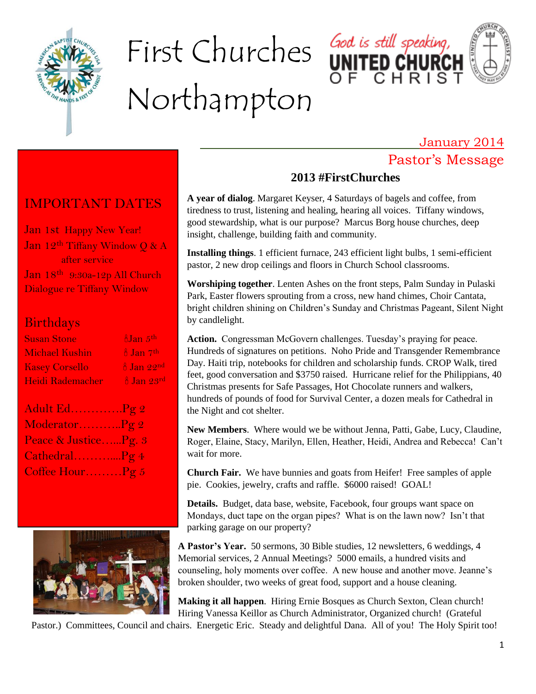

# First Churches Northampton





January 2014

## Pastor's Message

## IMPORTANT DATES

Jan 1st Happy New Year! Jan 12<sup>th</sup> Tiffany Window Q & A after service Jan 18th 9:30a-12p All Church Dialogue re Tiffany Window

#### Birthdays

| <b>Susan Stone</b>    | $\delta$ Jan $5^{\text{th}}$          |
|-----------------------|---------------------------------------|
| <b>Michael Kushin</b> | $\frac{3}{2}$ Jan 7 <sup>th</sup>     |
| <b>Kasey Corsello</b> | $\frac{8}{10}$ Jan $22^{\text{nd}}$   |
| Heidi Rademacher      | $\frac{8}{10}$ Jan $23^{\mathrm{rd}}$ |
|                       |                                       |

| Adult Ed. Pg 2       |  |
|----------------------|--|
| ModeratorPg 2        |  |
| Peace & JusticePg. 3 |  |
| CathedralPg 4        |  |
| Coffee HourPg 5      |  |



## **2013 #FirstChurches**

**A year of dialog**. Margaret Keyser, 4 Saturdays of bagels and coffee, from tiredness to trust, listening and healing, hearing all voices. Tiffany windows, good stewardship, what is our purpose? Marcus Borg house churches, deep insight, challenge, building faith and community.

**Installing things**. 1 efficient furnace, 243 efficient light bulbs, 1 semi-efficient pastor, 2 new drop ceilings and floors in Church School classrooms.

**Worshiping together**. Lenten Ashes on the front steps, Palm Sunday in Pulaski Park, Easter flowers sprouting from a cross, new hand chimes, Choir Cantata, bright children shining on Children's Sunday and Christmas Pageant, Silent Night by candlelight.

Action. Congressman McGovern challenges. Tuesday's praying for peace. Hundreds of signatures on petitions. Noho Pride and Transgender Remembrance Day. Haiti trip, notebooks for children and scholarship funds. CROP Walk, tired feet, good conversation and \$3750 raised. Hurricane relief for the Philippians, 40 Christmas presents for Safe Passages, Hot Chocolate runners and walkers, hundreds of pounds of food for Survival Center, a dozen meals for Cathedral in the Night and cot shelter.

**New Members**. Where would we be without Jenna, Patti, Gabe, Lucy, Claudine, Roger, Elaine, Stacy, Marilyn, Ellen, Heather, Heidi, Andrea and Rebecca! Can't wait for more.

**Church Fair.** We have bunnies and goats from Heifer! Free samples of apple pie. Cookies, jewelry, crafts and raffle. \$6000 raised! GOAL!

**Details.** Budget, data base, website, Facebook, four groups want space on Mondays, duct tape on the organ pipes? What is on the lawn now? Isn't that parking garage on our property?

**A Pastor's Year.** 50 sermons, 30 Bible studies, 12 newsletters, 6 weddings, 4 Memorial services, 2 Annual Meetings? 5000 emails, a hundred visits and counseling, holy moments over coffee. A new house and another move. Jeanne's broken shoulder, two weeks of great food, support and a house cleaning.

**Making it all happen**. Hiring Ernie Bosques as Church Sexton, Clean church! Hiring Vanessa Keillor as Church Administrator, Organized church! (Grateful

Pastor.) Committees, Council and chairs. Energetic Eric. Steady and delightful Dana. All of you! The Holy Spirit too!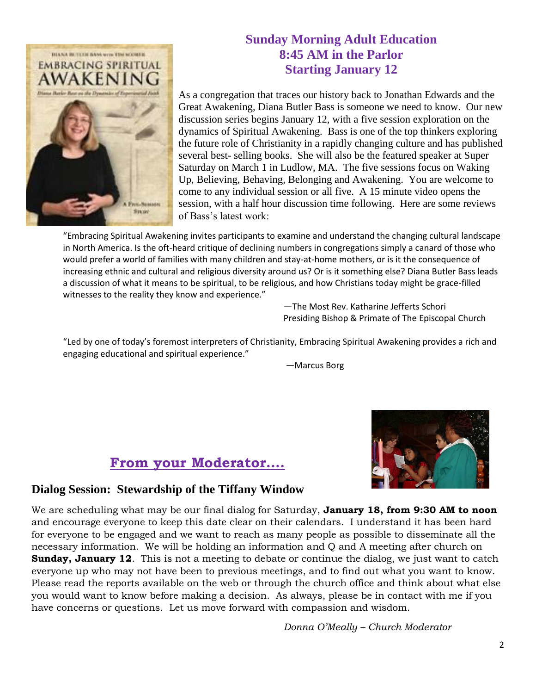

#### **Sunday Morning Adult Education 8:45 AM in the Parlor Starting January 12**

As a congregation that traces our history back to Jonathan Edwards and the Great Awakening, Diana Butler Bass is someone we need to know. Our new discussion series begins January 12, with a five session exploration on the dynamics of Spiritual Awakening. Bass is one of the top thinkers exploring the future role of Christianity in a rapidly changing culture and has published several best- selling books. She will also be the featured speaker at Super Saturday on March 1 in Ludlow, MA. The five sessions focus on Waking Up, Believing, Behaving, Belonging and Awakening. You are welcome to come to any individual session or all five. A 15 minute video opens the session, with a half hour discussion time following. Here are some reviews of Bass's latest work:

"Embracing Spiritual Awakening invites participants to examine and understand the changing cultural landscape in North America. Is the oft-heard critique of declining numbers in congregations simply a canard of those who would prefer a world of families with many children and stay-at-home mothers, or is it the consequence of increasing ethnic and cultural and religious diversity around us? Or is it something else? Diana Butler Bass leads a discussion of what it means to be spiritual, to be religious, and how Christians today might be grace-filled witnesses to the reality they know and experience."

> —The Most Rev. Katharine Jefferts Schori Presiding Bishop & Primate of The Episcopal Church

"Led by one of today's foremost interpreters of Christianity, Embracing Spiritual Awakening provides a rich and engaging educational and spiritual experience."

—Marcus Borg





#### **Dialog Session: Stewardship of the Tiffany Window**

We are scheduling what may be our final dialog for Saturday, **January 18, from 9:30 AM to noon** and encourage everyone to keep this date clear on their calendars. I understand it has been hard for everyone to be engaged and we want to reach as many people as possible to disseminate all the necessary information. We will be holding an information and Q and A meeting after church on **Sunday, January 12.** This is not a meeting to debate or continue the dialog, we just want to catch everyone up who may not have been to previous meetings, and to find out what you want to know. Please read the reports available on the web or through the church office and think about what else you would want to know before making a decision. As always, please be in contact with me if you have concerns or questions. Let us move forward with compassion and wisdom.

*Donna O'Meally – Church Moderator*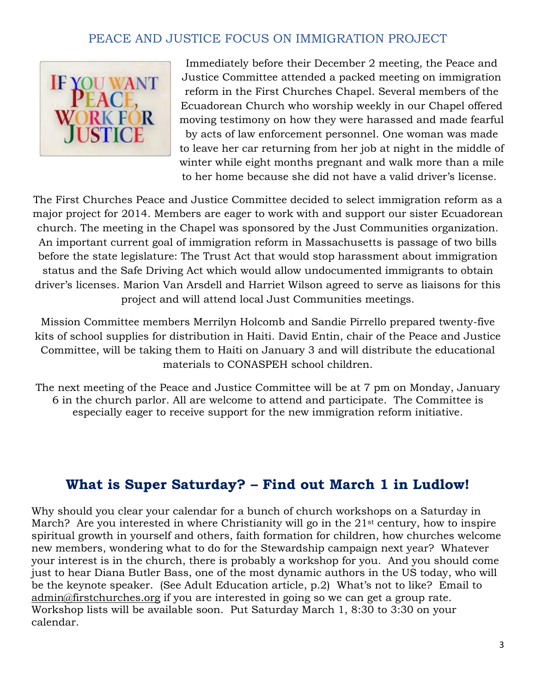#### PEACE AND JUSTICE FOCUS ON IMMIGRATION PROJECT



Immediately before their December 2 meeting, the Peace and Justice Committee attended a packed meeting on immigration reform in the First Churches Chapel. Several members of the Ecuadorean Church who worship weekly in our Chapel offered moving testimony on how they were harassed and made fearful by acts of law enforcement personnel. One woman was made to leave her car returning from her job at night in the middle of winter while eight months pregnant and walk more than a mile to her home because she did not have a valid driver's license.

The First Churches Peace and Justice Committee decided to select immigration reform as a major project for 2014. Members are eager to work with and support our sister Ecuadorean church. The meeting in the Chapel was sponsored by the Just Communities organization. An important current goal of immigration reform in Massachusetts is passage of two bills before the state legislature: The Trust Act that would stop harassment about immigration status and the Safe Driving Act which would allow undocumented immigrants to obtain driver's licenses. Marion Van Arsdell and Harriet Wilson agreed to serve as liaisons for this project and will attend local Just Communities meetings.

Mission Committee members Merrilyn Holcomb and Sandie Pirrello prepared twenty-five kits of school supplies for distribution in Haiti. David Entin, chair of the Peace and Justice Committee, will be taking them to Haiti on January 3 and will distribute the educational materials to CONASPEH school children.

The next meeting of the Peace and Justice Committee will be at 7 pm on Monday, January 6 in the church parlor. All are welcome to attend and participate. The Committee is especially eager to receive support for the new immigration reform initiative.

## **What is Super Saturday? – Find out March 1 in Ludlow!**

Why should you clear your calendar for a bunch of church workshops on a Saturday in March? Are you interested in where Christianity will go in the 21<sup>st</sup> century, how to inspire spiritual growth in yourself and others, faith formation for children, how churches welcome new members, wondering what to do for the Stewardship campaign next year? Whatever your interest is in the church, there is probably a workshop for you. And you should come just to hear Diana Butler Bass, one of the most dynamic authors in the US today, who will be the keynote speaker. (See Adult Education article, p.2) What's not to like? Email to [admin@firstchurches.org](mailto:admin@firstchurches.org) if you are interested in going so we can get a group rate. Workshop lists will be available soon. Put Saturday March 1, 8:30 to 3:30 on your calendar.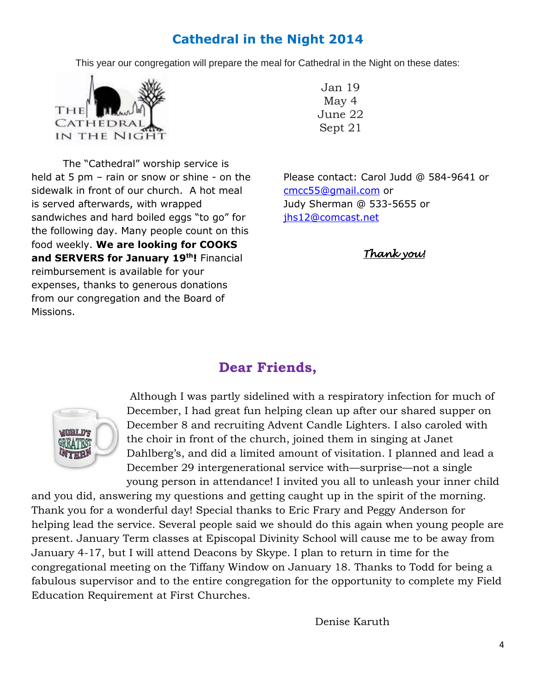## **Cathedral in the Night 2014**

This year our congregation will prepare the meal for Cathedral in the Night on these dates:



The "Cathedral" worship service is held at 5 pm – rain or snow or shine - on the sidewalk in front of our church. A hot meal is served afterwards, with wrapped sandwiches and hard boiled eggs "to go" for the following day. Many people count on this food weekly. **We are looking for COOKS and SERVERS for January 19th!** Financial reimbursement is available for your expenses, thanks to generous donations from our congregation and the Board of Missions.

Jan 19 May 4 June 22 Sept 21

Please contact: Carol Judd @ 584-9641 or [cmcc55@gmail.com](mailto:cmcc55@gmail.com) or Judy Sherman @ 533-5655 or [jhs12@comcast.net](mailto:jhs12@comcast.net)

*Thank you!* 

## **Dear Friends,**



Although I was partly sidelined with a respiratory infection for much of December, I had great fun helping clean up after our shared supper on December 8 and recruiting Advent Candle Lighters. I also caroled with the choir in front of the church, joined them in singing at Janet Dahlberg's, and did a limited amount of visitation. I planned and lead a December 29 intergenerational service with—surprise—not a single young person in attendance! I invited you all to unleash your inner child

and you did, answering my questions and getting caught up in the spirit of the morning. Thank you for a wonderful day! Special thanks to Eric Frary and Peggy Anderson for helping lead the service. Several people said we should do this again when young people are present. January Term classes at Episcopal Divinity School will cause me to be away from January 4-17, but I will attend Deacons by Skype. I plan to return in time for the congregational meeting on the Tiffany Window on January 18. Thanks to Todd for being a fabulous supervisor and to the entire congregation for the opportunity to complete my Field Education Requirement at First Churches.

Denise Karuth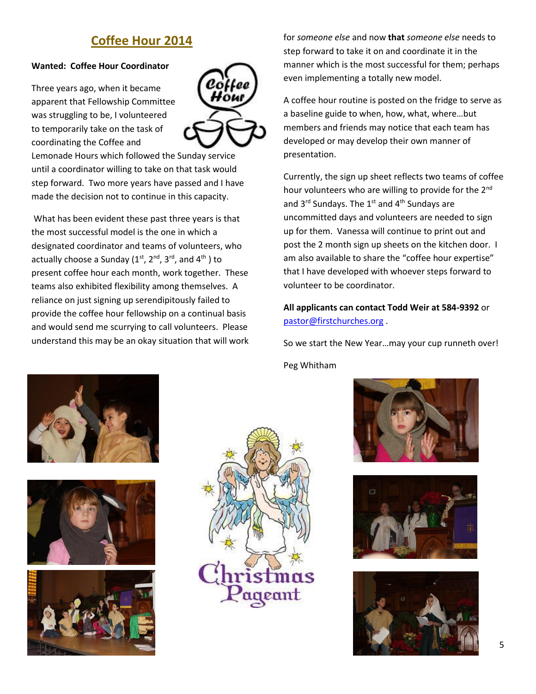## **Coffee Hour 2014**

#### **Wanted: Coffee Hour Coordinator**

Three years ago, when it became apparent that Fellowship Committee was struggling to be, I volunteered to temporarily take on the task of coordinating the Coffee and



Lemonade Hours which followed the Sunday service until a coordinator willing to take on that task would step forward. Two more years have passed and I have made the decision not to continue in this capacity.

What has been evident these past three years is that the most successful model is the one in which a designated coordinator and teams of volunteers, who actually choose a Sunday  $(1^{st}, 2^{nd}, 3^{rd},$  and  $4^{th}$ ) to present coffee hour each month, work together. These teams also exhibited flexibility among themselves. A reliance on just signing up serendipitously failed to provide the coffee hour fellowship on a continual basis and would send me scurrying to call volunteers. Please understand this may be an okay situation that will work for *someone else* and now **that** *someone else* needs to step forward to take it on and coordinate it in the manner which is the most successful for them; perhaps even implementing a totally new model.

A coffee hour routine is posted on the fridge to serve as a baseline guide to when, how, what, where…but members and friends may notice that each team has developed or may develop their own manner of presentation.

Currently, the sign up sheet reflects two teams of coffee hour volunteers who are willing to provide for the 2<sup>nd</sup> and  $3^{rd}$  Sundays. The  $1^{st}$  and  $4^{th}$  Sundays are uncommitted days and volunteers are needed to sign up for them. Vanessa will continue to print out and post the 2 month sign up sheets on the kitchen door. I am also available to share the "coffee hour expertise" that I have developed with whoever steps forward to volunteer to be coordinator.

**All applicants can contact Todd Weir at 584-9392** or [pastor@firstchurches.org](mailto:pastor@firstchurches.org) .

So we start the New Year…may your cup runneth over! Peg Whitham